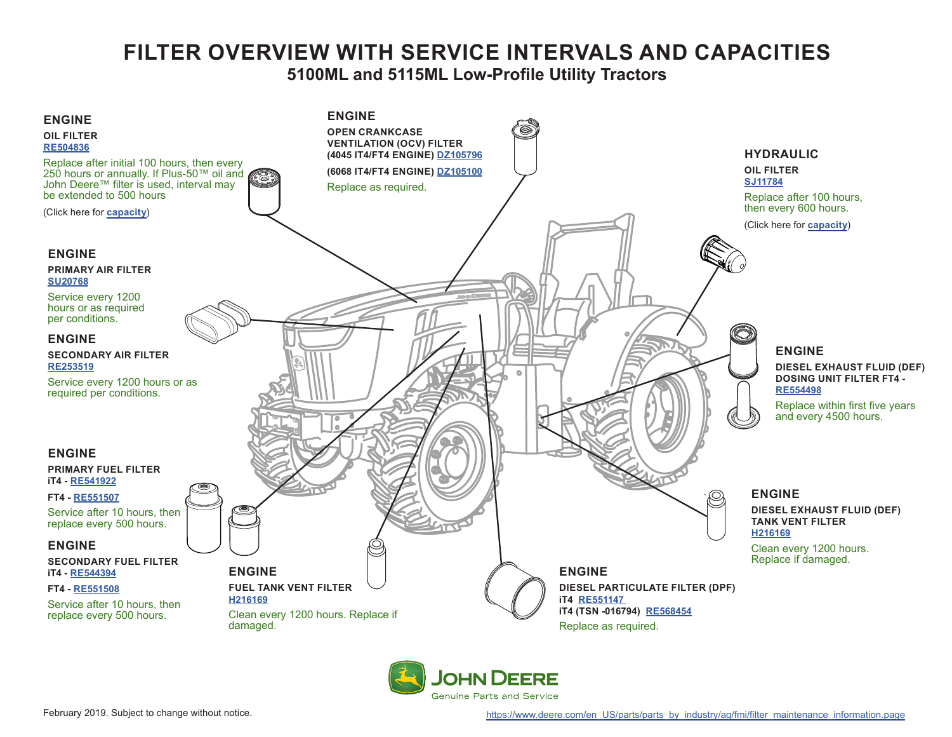# **FILTER OVERVIEW WITH SERVICE INTERVALS AND CAPACITIES 5100ML and 5115ML Low-Profile Utility Tractors**

<span id="page-0-0"></span>